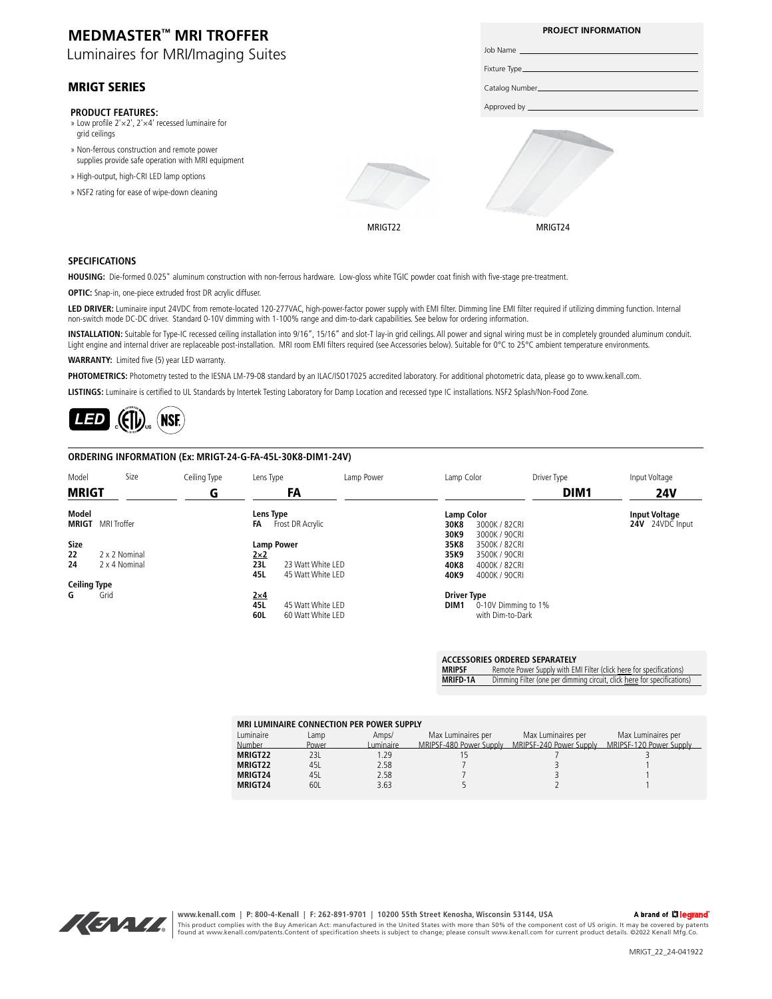| <b>MEDMASTER™ MRI TROFFER</b>                                                                     |         | <b>PROJECT INFORMATION</b> |
|---------------------------------------------------------------------------------------------------|---------|----------------------------|
| Luminaires for MRI/Imaging Suites                                                                 |         |                            |
|                                                                                                   |         |                            |
| <b>MRIGT SERIES</b>                                                                               |         |                            |
| <b>PRODUCT FEATURES:</b>                                                                          |         |                            |
| » Low profile $2' \times 2'$ , $2' \times 4'$ recessed luminaire for<br>grid ceilings             |         |                            |
| » Non-ferrous construction and remote power<br>supplies provide safe operation with MRI equipment |         |                            |
| » High-output, high-CRI LED lamp options                                                          |         |                            |
| » NSF2 rating for ease of wipe-down cleaning                                                      |         |                            |
|                                                                                                   | MRIGT22 | MRIGT24                    |

#### **SPECIFICATIONS**

**HOUSING:** Die-formed 0.025" aluminum construction with non-ferrous hardware. Low-gloss white TGIC powder coat finish with five-stage pre-treatment.

**OPTIC:** Snap-in, one-piece extruded frost DR acrylic diffuser.

**LED DRIVER:** Luminaire input 24VDC from remote-located 120-277VAC, high-power-factor power supply with EMI filter. Dimming line EMI filter required if utilizing dimming function. Internal non-switch mode DC-DC driver. Standard 0-10V dimming with 1-100% range and dim-to-dark capabilities. See below for ordering information.

**INSTALLATION:** Suitable for Type-IC recessed ceiling installation into 9/16", 15/16" and slot-T lay-in grid ceilings. All power and signal wiring must be in completely grounded aluminum conduit. Light engine and internal driver are replaceable post-installation. MRI room EMI filters required (see Accessories below). Suitable for 0°C to 25°C ambient temperature environments.

**WARRANTY:** Limited five (5) year LED warranty.

PHOTOMETRICS: Photometry tested to the IESNA LM-79-08 standard by an ILAC/ISO17025 accredited laboratory. For additional photometric data, please go to www.kenall.com.

**LISTINGS:** Luminaire is certified to UL Standards by Intertek Testing Laboratory for Damp Location and recessed type IC installations. NSF2 Splash/Non-Food Zone.

 $\mathcal{L}(\mathbf{f}|\mathbf{b})$ (NSE) *[LED](http://www.kenall.com/Kenall-Files/Product-Files/Literature/KenallPOMG_LEDwarranty.pdf)*

#### **ORDERING INFORMATION (Ex: MRIGT-24-G-FA-45L-30K8-DIM1-24V)**

| Model               | Size          | Ceiling Type | Lens Type         |                   | Lamp Power | Lamp Color         |                     | Driver Type      | Input Voltage        |
|---------------------|---------------|--------------|-------------------|-------------------|------------|--------------------|---------------------|------------------|----------------------|
| <b>MRIGT</b>        |               | G            |                   | FA                |            |                    |                     | DIM <sub>1</sub> | <b>24V</b>           |
| <b>Model</b>        |               |              | Lens Type         |                   |            | <b>Lamp Color</b>  |                     |                  | <b>Input Voltage</b> |
| <b>MRIGT</b>        | MRI Troffer   |              | FA                | Frost DR Acrylic  |            | 30K8               | 3000K / 82CRI       |                  | 24V 24VDC Input      |
|                     |               |              |                   |                   |            | 30K9               | 3000K / 90CRI       |                  |                      |
| <b>Size</b>         |               |              | <b>Lamp Power</b> |                   |            | 35K8               | 3500K / 82CRI       |                  |                      |
| 22                  | 2 x 2 Nominal |              | $2\times2$        |                   |            | 35K9               | 3500K / 90CRI       |                  |                      |
| 24                  | 2 x 4 Nominal |              | 23L               | 23 Watt White LED |            | 40K8               | 4000K / 82CRI       |                  |                      |
|                     |               |              | 45L               | 45 Watt White LED |            | 40K9               | 4000K / 90CRI       |                  |                      |
| <b>Ceiling Type</b> |               |              |                   |                   |            |                    |                     |                  |                      |
| G                   | Grid          |              | $2\times4$        |                   |            | <b>Driver Type</b> |                     |                  |                      |
|                     |               |              | 45L               | 45 Watt White LED |            | DIM <sub>1</sub>   | 0-10V Dimming to 1% |                  |                      |
|                     |               |              | 60L               | 60 Watt White LED |            |                    | with Dim-to-Dark    |                  |                      |
|                     |               |              |                   |                   |            |                    |                     |                  |                      |

| MRIPSF   | Remote Power Supply with EMI Filter (click here for specifications)     |
|----------|-------------------------------------------------------------------------|
| MRIFD-1A | Dimming Filter (one per dimming circuit, click here for specifications) |

| MRI LUMINAIRE CONNECTION PER POWER SUPPLY |       |           |                         |                         |                         |  |  |
|-------------------------------------------|-------|-----------|-------------------------|-------------------------|-------------------------|--|--|
| Luminaire                                 | Lamp  | Amps/     | Max Luminaires per      | Max Luminaires per      | Max Luminaires per      |  |  |
| Number                                    | Power | Luminaire | MRIPSE-480 Power Supply | MRIPSE-240 Power Supply | MRIPSF-120 Power Supply |  |  |
| MRIGT22                                   | 231   | 1.29      |                         |                         |                         |  |  |
| MRIGT22                                   | 451   | 2.58      |                         |                         |                         |  |  |
| <b>MRIGT24</b>                            | 451   | 2.58      |                         |                         |                         |  |  |
| MRIGT24                                   | 601   | 3.63      |                         |                         |                         |  |  |



**www.kenall.com | P: 800-4-Kenall | F: 262-891-9701 | 10200 55th Street Kenosha, Wisconsin 53144, USA**  A brand of Lilegrand This product complies with the Buy American Act: manufactured in the United States with more than 50% of the component cost of US origin. It may be covered by patents<br>found at www.kenall.com/patents.Content of specificatio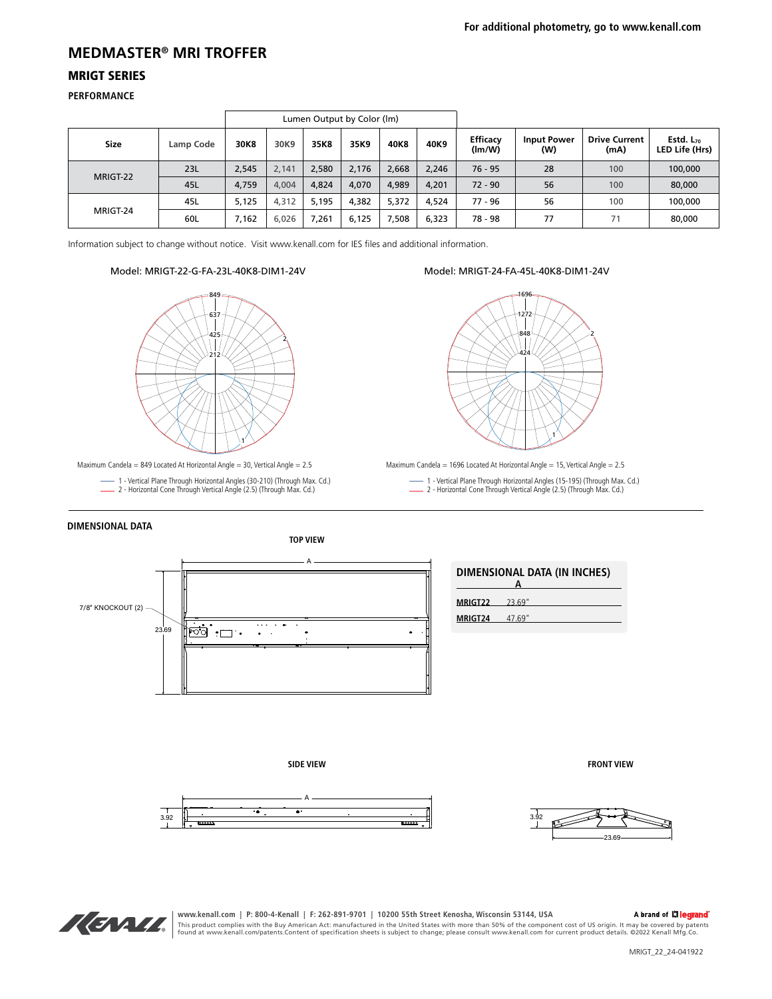### **MEDMASTER® MRI TROFFER**

#### MRIGT SERIES

**PERFORMANCE**

| Lumen Output by Color (Im) |           |       |       |       |       |       |       |                           |                           |                              |                                         |
|----------------------------|-----------|-------|-------|-------|-------|-------|-------|---------------------------|---------------------------|------------------------------|-----------------------------------------|
| <b>Size</b>                | Lamp Code | 30K8  | 30K9  | 35K8  | 35K9  | 40K8  | 40K9  | <b>Efficacy</b><br>(lm/W) | <b>Input Power</b><br>(W) | <b>Drive Current</b><br>(mA) | Estd. L <sub>70</sub><br>LED Life (Hrs) |
| MRIGT-22                   | 23L       | 2,545 | 2,141 | 2,580 | 2.176 | 2,668 | 2,246 | $76 - 95$                 | 28                        | 100                          | 100,000                                 |
|                            | 45L       | 4,759 | 4,004 | 4.824 | 4.070 | 4.989 | 4.201 | $72 - 90$                 | 56                        | 100                          | 80,000                                  |
|                            | 45L       | 5.125 | 4,312 | 5.195 | 4,382 | 5,372 | 4.524 | 77 - 96                   | 56                        | 100                          | 100,000                                 |
| MRIGT-24                   | 60L       | 7,162 | 6,026 | 7,261 | 6,125 | ,508  | 6,323 | 78 - 98                   | 77                        |                              | 80,000                                  |

Information subject to change without notice. Visit www.kenall.com for IES files and additional information.

#### Model: MRIGT-22-G-FA-23L-40K8-DIM1-24V



Maximum Candela = 849 Located At Horizontal Angle = 30, Vertical Angle = 2.5

1 - Vertical Plane Through Horizontal Angles (30-210) (Through Max. Cd.) 2 - Horizontal Cone Through Vertical Angle (2.5) (Through Max. Cd.)



Model: MRIGT-24-FA-45L-40K8-DIM1-24V

Maximum Candela = 1696 Located At Horizontal Angle = 15, Vertical Angle = 2.5

- 1 Vertical Plane Through Horizontal Angles (15-195) (Through Max. Cd.) 2 Horizontal Cone Through Vertical Angle (2.5) (Through Max. Cd.) L.
- 

#### **DIMENSIONAL DATA**

**TOP VIEW**



| DIMENSIONAL DATA (IN INCHES) |        |  |  |  |  |
|------------------------------|--------|--|--|--|--|
| MRIGT22                      | 23.69" |  |  |  |  |
| MRIGT <sub>24</sub>          | 47.69" |  |  |  |  |

**SIDE VIEW**





**FRONT VIEW**

23.69

www.kenall.com | P: 800-4-Kenall | F: 262-891-9701 | 10200 55th Street Kenosha, Wisconsin 53144, USA<br>This product complies with the Buy American Act: manufactured in the United States with more than 50% of the component c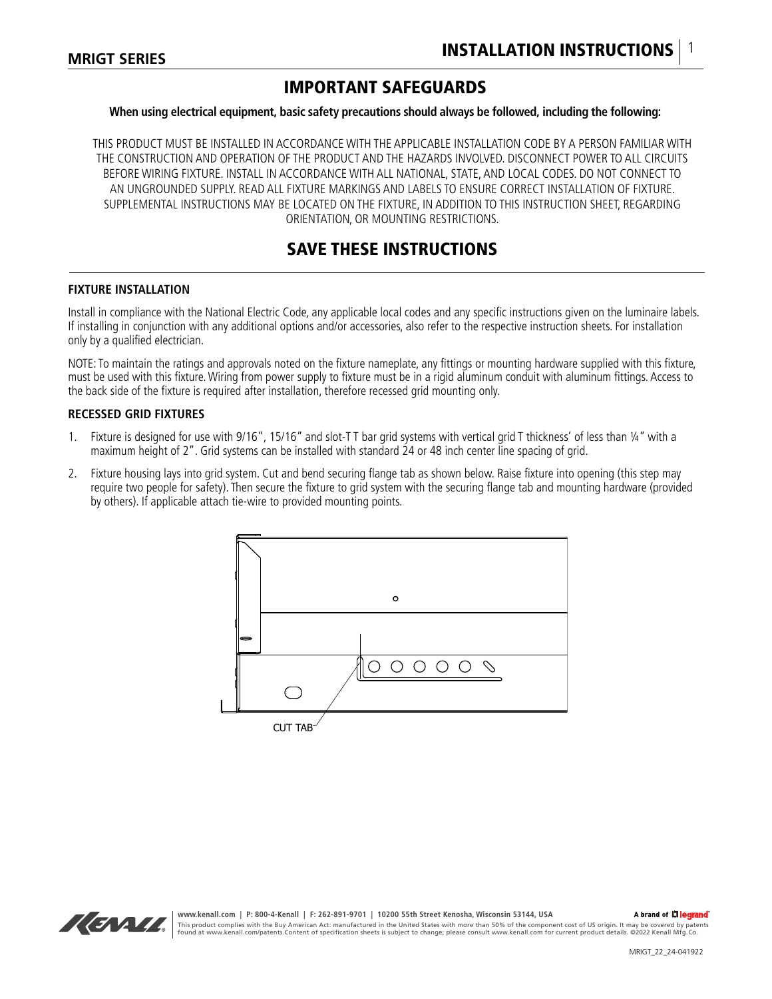## IMPORTANT SAFEGUARDS

#### **When using electrical equipment, basic safety precautions should always be followed, including the following:**

THIS PRODUCT MUST BE INSTALLED IN ACCORDANCE WITH THE APPLICABLE INSTALLATION CODE BY A PERSON FAMILIAR WITH THE CONSTRUCTION AND OPERATION OF THE PRODUCT AND THE HAZARDS INVOLVED. DISCONNECT POWER TO ALL CIRCUITS BEFORE WIRING FIXTURE. INSTALL IN ACCORDANCE WITH ALL NATIONAL, STATE, AND LOCAL CODES. DO NOT CONNECT TO AN UNGROUNDED SUPPLY. READ ALL FIXTURE MARKINGS AND LABELS TO ENSURE CORRECT INSTALLATION OF FIXTURE. SUPPLEMENTAL INSTRUCTIONS MAY BE LOCATED ON THE FIXTURE, IN ADDITION TO THIS INSTRUCTION SHEET, REGARDING ORIENTATION, OR MOUNTING RESTRICTIONS.

### SAVE THESE INSTRUCTIONS

#### **FIXTURE INSTALLATION**

Install in compliance with the National Electric Code, any applicable local codes and any specific instructions given on the luminaire labels. If installing in conjunction with any additional options and/or accessories, also refer to the respective instruction sheets. For installation only by a qualified electrician.

NOTE: To maintain the ratings and approvals noted on the fixture nameplate, any fittings or mounting hardware supplied with this fixture, must be used with this fixture. Wiring from power supply to fixture must be in a rigid aluminum conduit with aluminum fittings. Access to the back side of the fixture is required after installation, therefore recessed grid mounting only.

#### **RECESSED GRID FIXTURES**

- 1. Fixture is designed for use with 9/16", 15/16" and slot-T T bar grid systems with vertical grid T thickness' of less than ¼" with a maximum height of 2". Grid systems can be installed with standard 24 or 48 inch center line spacing of grid.
- 2. Fixture housing lays into grid system. Cut and bend securing flange tab as shown below. Raise fixture into opening (this step may require two people for safety). Then secure the fixture to grid system with the securing flange tab and mounting hardware (provided by others). If applicable attach tie-wire to provided mounting points.



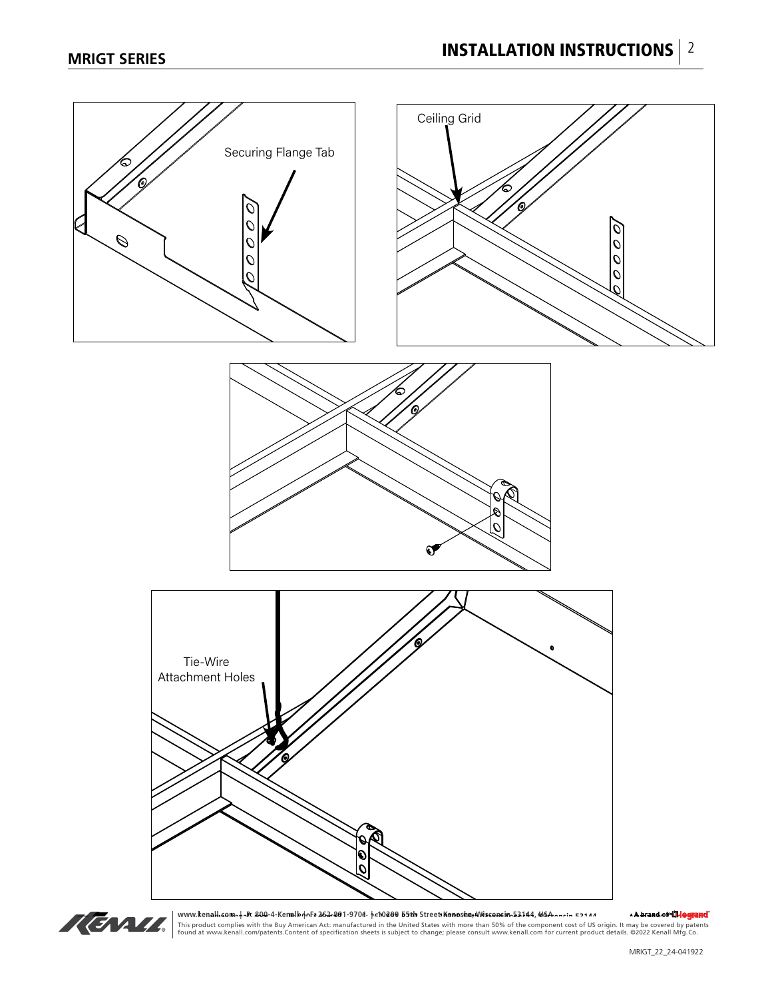



www.ke**nall.com..| -F: 800-4-Kenalb4oFs 262-801-9704: †cfb200-55th Street Konoste;Misseasin 52144, id6A-nrin 52144, id6A-nrin 52144, id6A-nrin 52144, id6A-nrin 52144, id6A-nrin 52144, id6A-nrin 52144, id6A-nrin 5800-0011** 1aH.com/որ-ի 800-4-Kenall Andra 262-801-9/08 թ. 10200 55th Street Konosha, Musconsin 53144, MaA-որ-in 521*1* 4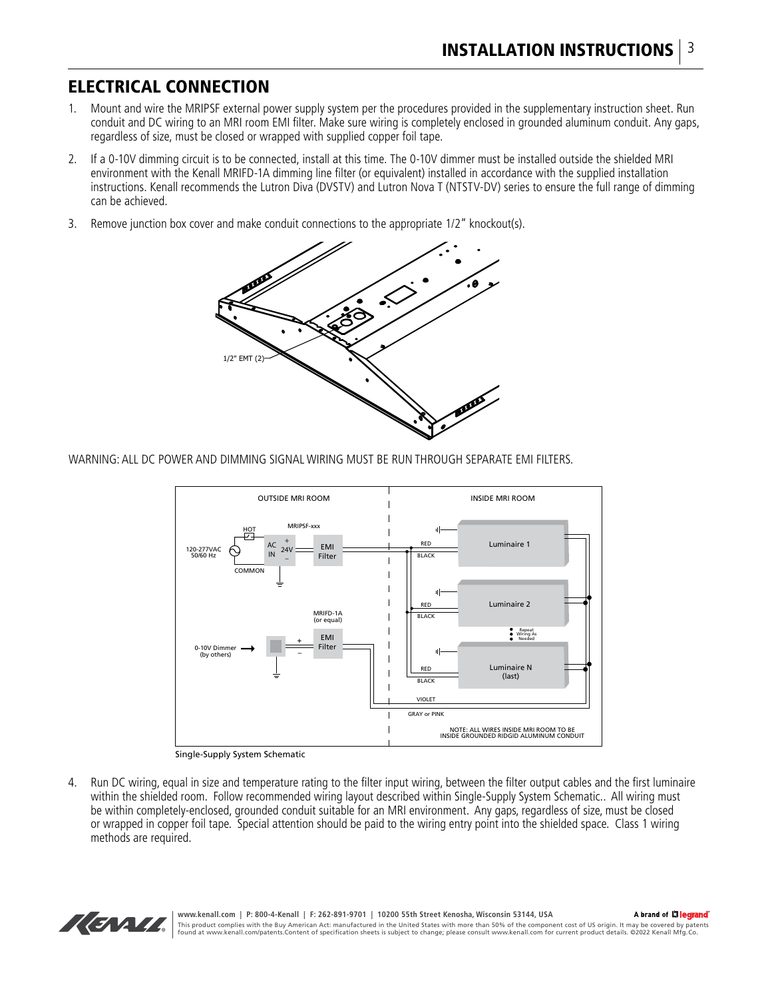### ELECTRICAL CONNECTION

- 1. Mount and wire the MRIPSF external power supply system per the procedures provided in the supplementary instruction sheet. Run conduit and DC wiring to an MRI room EMI filter. Make sure wiring is completely enclosed in grounded aluminum conduit. Any gaps, regardless of size, must be closed or wrapped with supplied copper foil tape.
- 2. If a 0-10V dimming circuit is to be connected, install at this time. The 0-10V dimmer must be installed outside the shielded MRI environment with the Kenall MRIFD-1A dimming line filter (or equivalent) installed in accordance with the supplied installation instructions. Kenall recommends the Lutron Diva (DVSTV) and Lutron Nova T (NTSTV-DV) series to ensure the full range of dimming can be achieved.
- 3. Remove junction box cover and make conduit connections to the appropriate 1/2" knockout(s).



WARNING: ALL DC POWER AND DIMMING SIGNAL WIRING MUST BE RUN THROUGH SEPARATE EMI FILTERS.



Single-Supply System Schematic

4. Run DC wiring, equal in size and temperature rating to the filter input wiring, between the filter output cables and the first luminaire within the shielded room. Follow recommended wiring layout described within Single-Supply System Schematic.. All wiring must be within completely-enclosed, grounded conduit suitable for an MRI environment. Any gaps, regardless of size, must be closed or wrapped in copper foil tape. Special attention should be paid to the wiring entry point into the shielded space. Class 1 wiring methods are required.

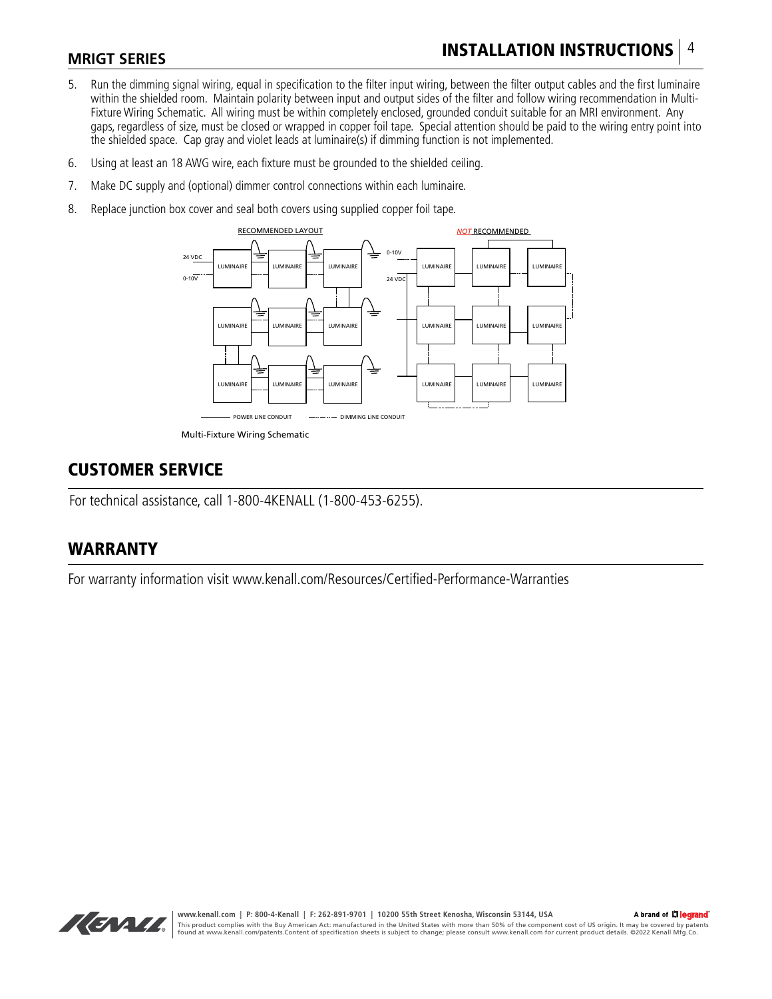# INSTALLATION INSTRUCTIONS 4

### **MRIGT SERIES**

- 5. Run the dimming signal wiring, equal in specification to the filter input wiring, between the filter output cables and the first luminaire within the shielded room. Maintain polarity between input and output sides of the filter and follow wiring recommendation in Multi-Fixture Wiring Schematic. All wiring must be within completely enclosed, grounded conduit suitable for an MRI environment. Any gaps, regardless of size, must be closed or wrapped in copper foil tape. Special attention should be paid to the wiring entry point into the shielded space. Cap gray and violet leads at luminaire(s) if dimming function is not implemented.
- 6. Using at least an 18 AWG wire, each fixture must be grounded to the shielded ceiling.
- 7. Make DC supply and (optional) dimmer control connections within each luminaire.
- 8. Replace junction box cover and seal both covers using supplied copper foil tape.



## CUSTOMER SERVICE

For technical assistance, call 1-800-4KENALL (1-800-453-6255).

## WARRANTY

For warranty information visit www.kenall.com/Resources/Certified-Performance-Warranties

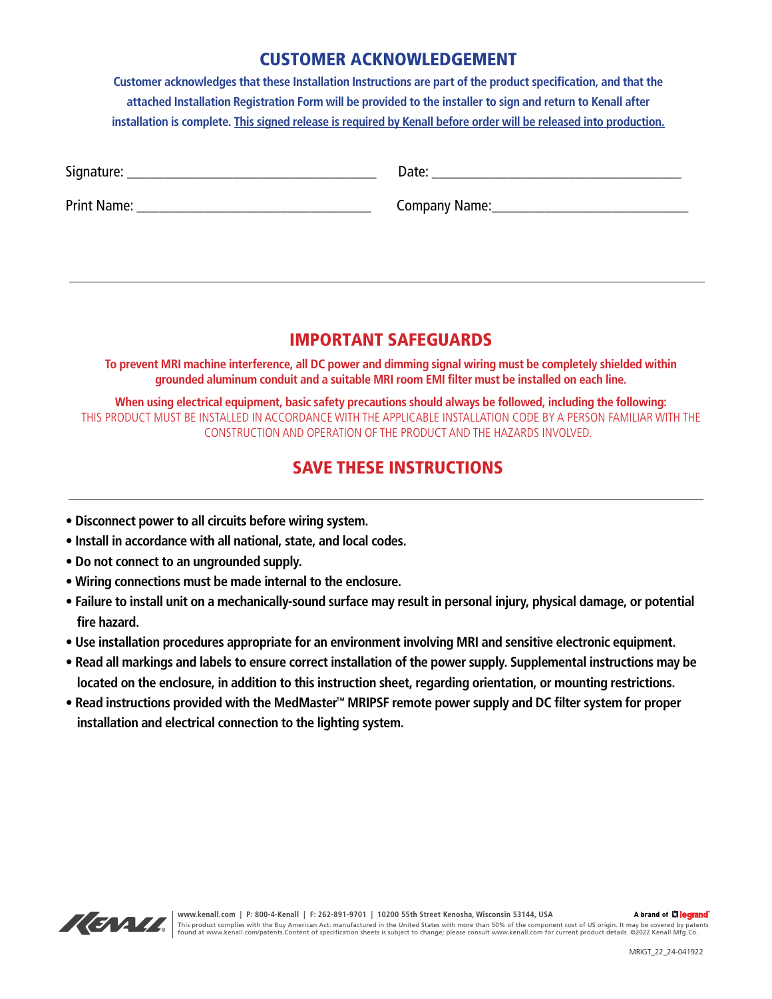### CUSTOMER ACKNOWLEDGEMENT

**Customer acknowledges that these Installation Instructions are part of the product specification, and that the attached Installation Registration Form will be provided to the installer to sign and return to Kenall after installation is complete. This signed release is required by Kenall before order will be released into production.**

| $\sim$ .<br>$\sim$ $\sim$ |       |
|---------------------------|-------|
| יוכ                       | <br>- |

Print Name: The Company Name: The Company Name:  $\sim$  Company Name:

# IMPORTANT SAFEGUARDS

**To prevent MRI machine interference, all DC power and dimming signal wiring must be completely shielded within grounded aluminum conduit and a suitable MRI room EMI filter must be installed on each line.**

**When using electrical equipment, basic safety precautions should always be followed, including the following:** THIS PRODUCT MUST BE INSTALLED IN ACCORDANCE WITH THE APPLICABLE INSTALLATION CODE BY A PERSON FAMILIAR WITH THE CONSTRUCTION AND OPERATION OF THE PRODUCT AND THE HAZARDS INVOLVED.

# SAVE THESE INSTRUCTIONS

- **Disconnect power to all circuits before wiring system.**
- **Install in accordance with all national, state, and local codes.**
- **Do not connect to an ungrounded supply.**
- **Wiring connections must be made internal to the enclosure.**
- **Failure to install unit on a mechanically-sound surface may result in personal injury, physical damage, or potential fire hazard.**
- **Use installation procedures appropriate for an environment involving MRI and sensitive electronic equipment.**
- **Read all markings and labels to ensure correct installation of the power supply. Supplemental instructions may be located on the enclosure, in addition to this instruction sheet, regarding orientation, or mounting restrictions.**
- **Read instructions provided with the MedMaster™ MRIPSF remote power supply and DC filter system for proper installation and electrical connection to the lighting system.**